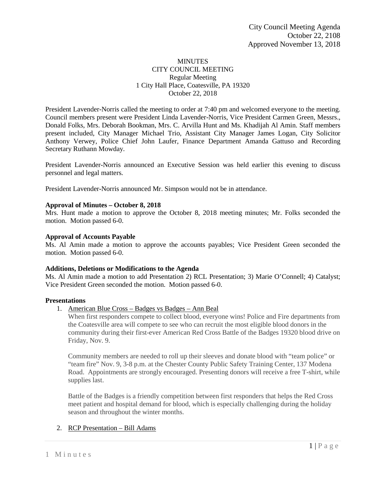### MINUTES CITY COUNCIL MEETING Regular Meeting 1 City Hall Place, Coatesville, PA 19320 October 22, 2018

President Lavender-Norris called the meeting to order at 7:40 pm and welcomed everyone to the meeting. Council members present were President Linda Lavender-Norris, Vice President Carmen Green, Messrs., Donald Folks, Mrs. Deborah Bookman, Mrs. C. Arvilla Hunt and Ms. Khadijah Al Amin. Staff members present included, City Manager Michael Trio, Assistant City Manager James Logan, City Solicitor Anthony Verwey, Police Chief John Laufer, Finance Department Amanda Gattuso and Recording Secretary Ruthann Mowday.

President Lavender-Norris announced an Executive Session was held earlier this evening to discuss personnel and legal matters.

President Lavender-Norris announced Mr. Simpson would not be in attendance.

### **Approval of Minutes – October 8, 2018**

Mrs. Hunt made a motion to approve the October 8, 2018 meeting minutes; Mr. Folks seconded the motion. Motion passed 6-0.

## **Approval of Accounts Payable**

Ms. Al Amin made a motion to approve the accounts payables; Vice President Green seconded the motion. Motion passed 6-0.

### **Additions, Deletions or Modifications to the Agenda**

Ms. Al Amin made a motion to add Presentation 2) RCL Presentation; 3) Marie O'Connell; 4) Catalyst; Vice President Green seconded the motion. Motion passed 6-0.

### **Presentations**

1. American Blue Cross – Badges vs Badges – Ann Beal

When first responders compete to collect blood, everyone wins! Police and Fire departments from the Coatesville area will compete to see who can recruit the most eligible blood donors in the community during their first-ever American Red Cross Battle of the Badges 19320 blood drive on Friday, Nov. 9.

Community members are needed to roll up their sleeves and donate blood with "team police" or "team fire" Nov. 9, 3-8 p.m. at the Chester County Public Safety Training Center, 137 Modena Road. Appointments are strongly encouraged. Presenting donors will receive a free T-shirt, while supplies last.

Battle of the Badges is a friendly competition between first responders that helps the Red Cross meet patient and hospital demand for blood, which is especially challenging during the holiday season and throughout the winter months.

# 2. RCP Presentation – Bill Adams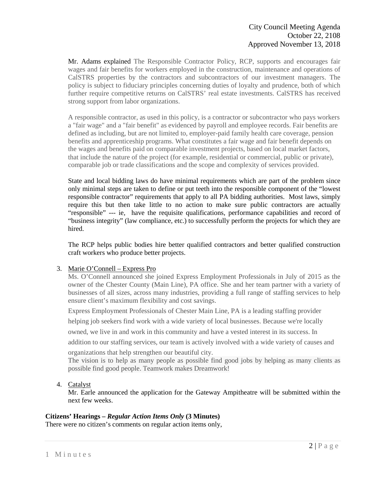Mr. Adams explained The Responsible Contractor Policy, RCP, supports and encourages fair wages and fair benefits for workers employed in the construction, maintenance and operations of CalSTRS properties by the contractors and subcontractors of our investment managers. The policy is subject to fiduciary principles concerning duties of loyalty and prudence, both of which further require competitive returns on CalSTRS' real estate investments. CalSTRS has received strong support from labor organizations.

A responsible contractor, as used in this policy, is a contractor or subcontractor who pays workers a "fair wage" and a "fair benefit" as evidenced by payroll and employee records. Fair benefits are defined as including, but are not limited to, employer-paid family health care coverage, pension benefits and apprenticeship programs. What constitutes a fair wage and fair benefit depends on the wages and benefits paid on comparable investment projects, based on local market factors, that include the nature of the project (for example, residential or commercial, public or private), comparable job or trade classifications and the scope and complexity of services provided.

State and local bidding laws do have minimal requirements which are part of the problem since only minimal steps are taken to define or put teeth into the responsible component of the "lowest responsible contractor" requirements that apply to all PA bidding authorities. Most laws, simply require this but then take little to no action to make sure public contractors are actually "responsible" --- ie, have the requisite qualifications, performance capabilities and record of "business integrity" (law compliance, etc.) to successfully perform the projects for which they are hired.

The RCP helps public bodies hire better qualified contractors and better qualified construction craft workers who produce better projects.

### 3. Marie O'Connell – Express Pro

Ms. O'Connell announced she joined Express Employment Professionals in July of 2015 as the owner of the Chester County (Main Line), PA office. She and her team partner with a variety of businesses of all sizes, across many industries, providing a full range of staffing services to help ensure client's maximum flexibility and cost savings.

Express Employment Professionals of Chester Main Line, PA is a leading staffing provider

helping job seekers find work with a wide variety of local businesses. Because we're locally

owned, we live in and work in this community and have a vested interest in its success. In

addition to our staffing services, our team is actively involved with a wide variety of causes and

organizations that help strengthen our beautiful city.

The vision is to help as many people as possible find good jobs by helping as many clients as possible find good people. Teamwork makes Dreamwork!

### 4. Catalyst

Mr. Earle announced the application for the Gateway Ampitheatre will be submitted within the next few weeks.

### **Citizens' Hearings –** *Regular Action Items Only* **(3 Minutes)**

There were no citizen's comments on regular action items only,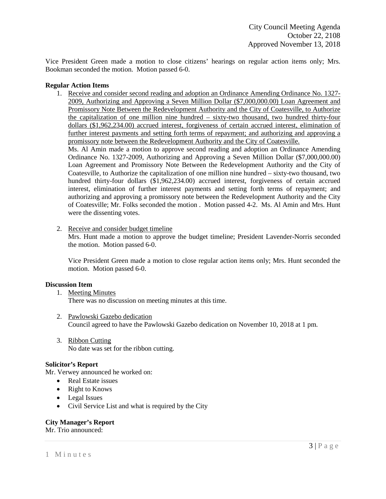Vice President Green made a motion to close citizens' hearings on regular action items only; Mrs. Bookman seconded the motion. Motion passed 6-0.

### **Regular Action Items**

1. Receive and consider second reading and adoption an Ordinance Amending Ordinance No. 1327- 2009, Authorizing and Approving a Seven Million Dollar (\$7,000,000.00) Loan Agreement and Promissory Note Between the Redevelopment Authority and the City of Coatesville, to Authorize the capitalization of one million nine hundred – sixty-two thousand, two hundred thirty-four dollars (\$1,962,234.00) accrued interest, forgiveness of certain accrued interest, elimination of further interest payments and setting forth terms of repayment; and authorizing and approving a promissory note between the Redevelopment Authority and the City of Coatesville.

Ms. Al Amin made a motion to approve second reading and adoption an Ordinance Amending Ordinance No. 1327-2009, Authorizing and Approving a Seven Million Dollar (\$7,000,000.00) Loan Agreement and Promissory Note Between the Redevelopment Authority and the City of Coatesville, to Authorize the capitalization of one million nine hundred – sixty-two thousand, two hundred thirty-four dollars (\$1,962,234.00) accrued interest, forgiveness of certain accrued interest, elimination of further interest payments and setting forth terms of repayment; and authorizing and approving a promissory note between the Redevelopment Authority and the City of Coatesville; Mr. Folks seconded the motion . Motion passed 4-2. Ms. Al Amin and Mrs. Hunt were the dissenting votes.

2. Receive and consider budget timeline

Mrs. Hunt made a motion to approve the budget timeline; President Lavender-Norris seconded the motion. Motion passed 6-0.

Vice President Green made a motion to close regular action items only; Mrs. Hunt seconded the motion. Motion passed 6-0.

#### **Discussion Item**

- 1. Meeting Minutes There was no discussion on meeting minutes at this time.
- 2. Pawlowski Gazebo dedication Council agreed to have the Pawlowski Gazebo dedication on November 10, 2018 at 1 pm.
- 3. Ribbon Cutting No date was set for the ribbon cutting.

#### **Solicitor's Report**

Mr. Verwey announced he worked on:

- Real Estate issues
- Right to Knows
- Legal Issues
- Civil Service List and what is required by the City

#### **City Manager's Report**

Mr. Trio announced: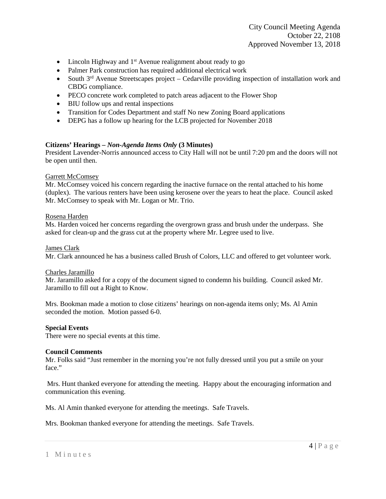City Council Meeting Agenda October 22, 2108 Approved November 13, 2018

- Lincoln Highway and  $1<sup>st</sup>$  Avenue realignment about ready to go
- Palmer Park construction has required additional electrical work
- South  $3<sup>rd</sup>$  Avenue Streetscapes project Cedarville providing inspection of installation work and CBDG compliance.
- PECO concrete work completed to patch areas adjacent to the Flower Shop
- BIU follow ups and rental inspections
- Transition for Codes Department and staff No new Zoning Board applications
- DEPG has a follow up hearing for the LCB projected for November 2018

### **Citizens' Hearings –** *Non-Agenda Items Only* **(3 Minutes)**

President Lavender-Norris announced access to City Hall will not be until 7:20 pm and the doors will not be open until then.

### Garrett McComsey

Mr. McComsey voiced his concern regarding the inactive furnace on the rental attached to his home (duplex). The various renters have been using kerosene over the years to heat the place. Council asked Mr. McComsey to speak with Mr. Logan or Mr. Trio.

#### Rosena Harden

Ms. Harden voiced her concerns regarding the overgrown grass and brush under the underpass. She asked for clean-up and the grass cut at the property where Mr. Legree used to live.

#### James Clark

Mr. Clark announced he has a business called Brush of Colors, LLC and offered to get volunteer work.

#### Charles Jaramillo

Mr. Jaramillo asked for a copy of the document signed to condemn his building. Council asked Mr. Jaramillo to fill out a Right to Know.

Mrs. Bookman made a motion to close citizens' hearings on non-agenda items only; Ms. Al Amin seconded the motion. Motion passed 6-0.

#### **Special Events**

There were no special events at this time.

#### **Council Comments**

Mr. Folks said "Just remember in the morning you're not fully dressed until you put a smile on your face."

Mrs. Hunt thanked everyone for attending the meeting. Happy about the encouraging information and communication this evening.

Ms. Al Amin thanked everyone for attending the meetings. Safe Travels.

Mrs. Bookman thanked everyone for attending the meetings. Safe Travels.